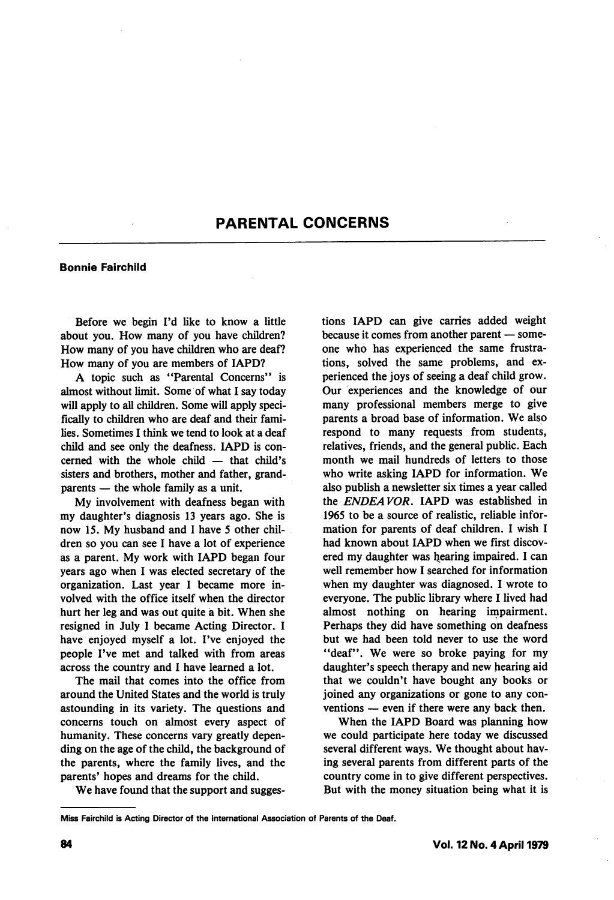# PARENTAL CONCERNS

### Bonnie Falrchlld

Before we begin I'd like to know a little about you. How many of you have children? How many of you have children who are deaf? How many of you are members of lAPD?

A topic such as "Parental Concerns" is almost without limit. Some of what I say today will apply to all children. Some will apply speci fically to children who are deaf and their fami lies. Sometimes I think we tend to look at a deaf child and see only the deafness. lAPD is con cerned with the whole child — that child's sisters and brothers, mother and father, grand parents — the whole family as a unit.

My involvement with deafness began with my daughter's diagnosis 13 years ago. She is now 15. My husband and I have 5 other chil dren so you can see I have a lot of experience as a parent. My work with lAPD began four years ago when I was elected secretary of the organization. Last year I became more in volved with the office itself when the director hurt her leg and was out quite a bit. When she resigned in July I became Acting Director. I have enjoyed myself a lot. I've enjoyed the people I've met and talked with from areas across the country and I have learned a lot.

The mail that comes into the office from around the United States and the world is truly astounding in its variety. The questions and concerns touch on almost every aspect of humanity. These concerns vary greatly depen ding on the age of the child, the background of the parents, where the family lives, and the parents' hopes and dreams for the child.

We have found that the support and sugges

tions lAPD can give carries added weight because it comes from another parent — some one who has experienced the same frustra tions, solved the same problems, and ex perienced the joys of seeing a deaf child grow. Our experiences and the knowledge of our many professional members merge to give parents a broad base of information. We also respond to many requests from students, relatives, friends, and the general public. Each month we mail hundreds of letters to those who write asking lAPD for information. We also publish a newsletter six times a year called the ENDEAVOR, lAPD was established in 1965 to be a source of realistic, reliable infor mation for parents of deaf children. I wish I had known about lAPD when we first discov ered my daughter was hearing impaired. I can well remember how I searched for information when my daughter was diagnosed. I wrote to everyone. The public library where I lived had almost nothing on hearing impairment. Perhaps they did have something on deafness but we had been told never to use the word "deaf". We were so broke paying for my daughter's speech therapy and new hearing aid that we couldn't have bought any books or joined any organizations or gone to any con ventions — even if there were any back then.

When the lAPD Board was planning how we could participate here today we discussed several different ways. We thought about hav ing several parents from different parts of the country come in to give different perspectives. But with the money situation being what it is

Miss Falrchlld Is Acting Director of the international Association of Parents of the Deaf.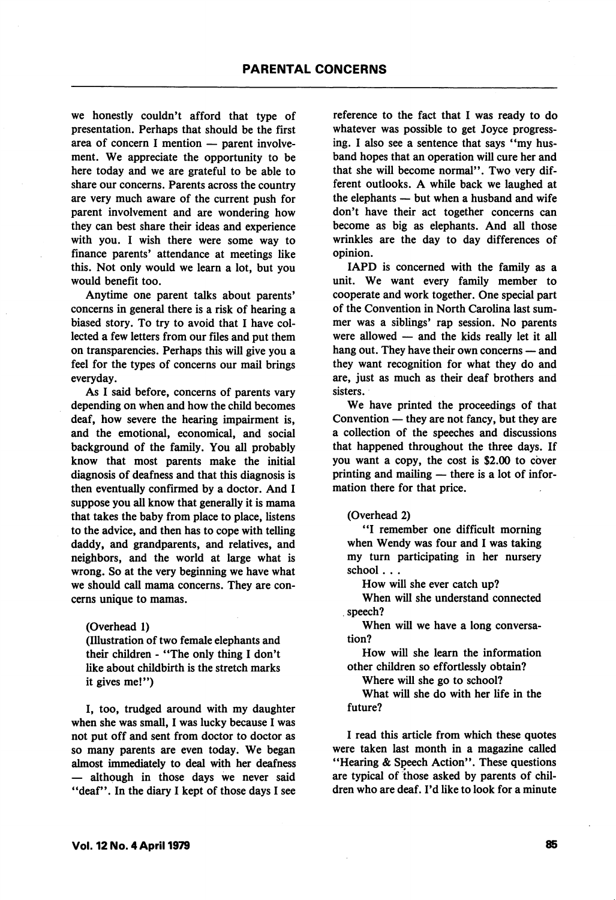we honestly couldn't afford that type of presentation. Perhaps that should be the first area of concern I mention — parent involve ment. We appreciate the opportunity to be here today and we are grateful to be able to share our concerns. Parents across the country are very much aware of the current push for parent involvement and are wondering how they can best share their ideas and experience with you. I wish there were some way to finance parents' attendance at meetings like this. Not only would we learn a lot, but you would benefit too.

Anytime one parent talks about parents' concerns in general there is a risk of hearing a biased story. To try to avoid that I have col lected a few letters from our files and put them on transparencies. Perhaps this will give you a feel for the types of concerns our mail brings everyday.

As I said before, concerns of parents vary depending on when and how the child becomes deaf, how severe the hearing impairment is, and the emotional, economical, and social background of the family. You all probably know that most parents make the initial diagnosis of deafness and that this diagnosis is then eventually confirmed by a doctor. And I suppose you all know that generally it is mama that takes the baby from place to place, listens to the advice, and then has to cope with telling daddy, and grandparents, and relatives, and neighbors, and the world at large what is wrong. So at the very beginning we have what we should call mama concerns. They are con cerns unique to mamas.

(Overhead 1)

(Illustration of two female elephants and their children - "The only thing I don't like about childbirth is the stretch marks it gives me!")

I, too, trudged around with my daughter when she was small, I was lucky because I was not put off and sent from doctor to doctor as so many parents are even today. We began almost immediately to deal with her deafness — although in those days we never said "deaf". In the diary I kept of those days I see reference to the fact that I was ready to do whatever was possible to get Joyce progress ing. I also see a sentence that says "my hus band hopes that an operation will cure her and that she will become normal". Two very dif ferent outlooks. A while back we laughed at the elephants — but when a husband and wife don't have their act together concerns can become as big as elephants. And all those wrinkles are the day to day differences of opinion.

lAPD is concerned with the family as a unit. We want every family member to cooperate and work together. One special part of the Convention in North Carolina last sum mer was a siblings' rap session. No parents were allowed — and the kids really let it all hang out. They have their own concerns — and they want recognition for what they do and are, just as much as their deaf brothers and sisters.

We have printed the proceedings of that Convention — they are not fancy, but they are a collection of the speeches and discussions that happened throughout the three days. If you want a copy, the cost is \$2.00 to cover printing and mailing — there is a lot of infor mation there for that price.

## (Overhead 2)

"I remember one difficult morning when Wendy was four and I was taking my turn participating in her nursery school . . .

How will she ever catch up?

When will she understand connected speech?

When will we have a long conversa tion?

How will she learn the information other children so effortlessly obtain?

Where will she go to school?

What will she do with her life in the future?

I read this article from which these quotes were taken last month in a magazine called "Hearing & Speech Action". These questions are typical of those asked by parents of chil dren who are deaf. I'd like to look for a minute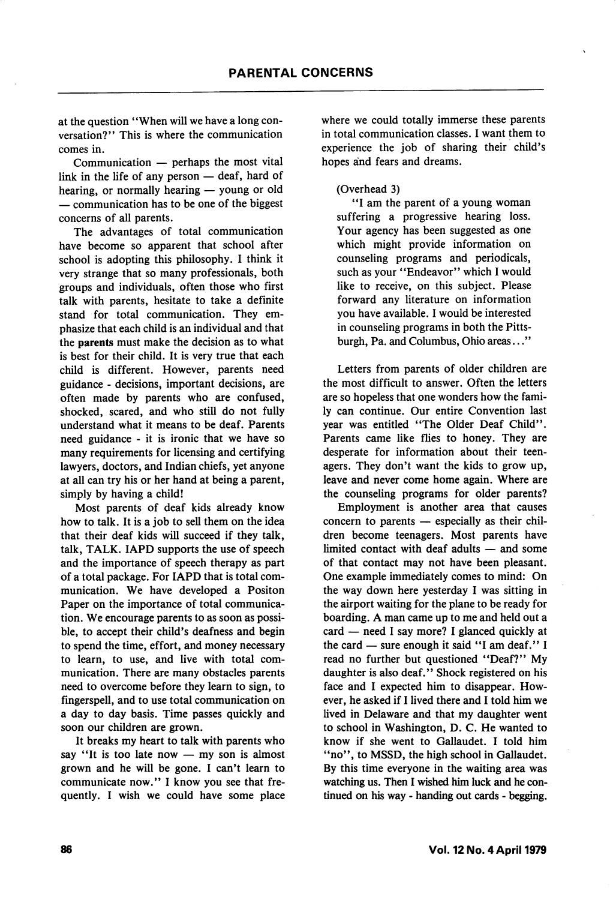at the question "When will we have a long con versation?" This is where the communication comes in.

Communication — perhaps the most vital link in the life of any person — deaf, hard of hearing, or normally hearing — young or old — communication has to be one of the biggest concerns of all parents.

The advantages of total communication have become so apparent that school after school is adopting this philosophy. I think it very strange that so many professionals, both groups and individuals, often those who first talk with parents, hesitate to take a definite stand for total communication. They em phasize that each child is an individual and that the parents must make the decision as to what is best for their child. It is very true that each child is different. However, parents need guidance - decisions, important decisions, are often made by parents who are confused, shocked, scared, and who still do not fully understand what it means to be deaf. Parents need guidance - it is ironic that we have so many requirements for licensing and certifying lawyers, doctors, and Indian chiefs, yet anyone at all can try his or her hand at being a parent, simply by having a child!

Most parents of deaf kids already know how to talk. It is a job to sell them on the idea that their deaf kids will succeed if they talk, talk, TALK. lAPD supports the use of speech and the importance of speech therapy as part of a total package. For lAPD that is total com munication. We have developed a Positon Paper on the importance of total communica tion. We encourage parents to as soon as possi ble, to accept their child's deafness and begin to spend the time, effort, and money necessary to learn, to use, and live with total com munication. There are many obstacles parents need to overcome before they learn to sign, to fingerspell, and to use total communication on a day to day basis. Time passes quickly and soon our children are grown.

It breaks my heart to talk with parents who say "It is too late now — my son is almost grown and he will be gone. I can't learn to communicate now." I know you see that fre quently. I wish we could have some place where we could totally immerse these parents in total communication classes. I want them to experience the job of sharing their child's hopes and fears and dreams.

## (Overhead 3)

"I am the parent of a young woman suffering a progressive hearing loss. Your agency has been suggested as one which might provide information on counseling programs and periodicals, such as your "Endeavor" which I would like to receive, on this subject. Please forward any literature on information you have available. I would be interested in counseling programs in both the Pitts burgh, Pa. and Columbus, Ohio areas..."

Letters from parents of older children are the most difficult to answer. Often the letters are so hopeless that one wonders how the fami ly can continue. Our entire Convention last year was entitled "The Older Deaf Child". Parents came like flies to honey. They are desperate for information about their teen agers. They don't want the kids to grow up, leave and never come home again. Where are the counseling programs for older parents?

Employment is another area that causes concern to parents — especially as their chil dren become teenagers. Most parents have limited contact with deaf adults — and some of that contact may not have been pleasant. One example immediately comes to mind: On the way down here yesterday I was sitting in the airport waiting for the plane to be ready for boarding. A man came up to me and held out a card — need I say more? I glanced quickly at the card — sure enough it said "I am deaf." I read no further but questioned "Deaf?" My daughter is also deaf." Shock registered on his face and I expected him to disappear. How ever, he asked if I lived there and I told him we lived in Delaware and that my daughter went to school in Washington, D. C. He wanted to know if she went to Gallaudet. I told him "no", to MSSD, the high school in Gallaudet. By this time everyone in the waiting area was watching us. Then I wished him luck and he con tinued on his way - handing out cards - begging.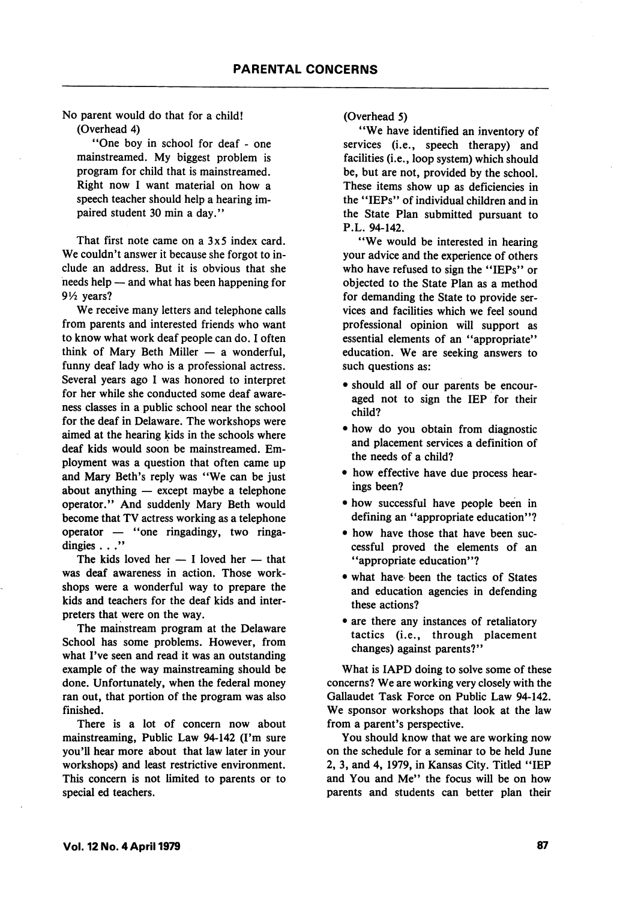No parent would do that for a child! (Overhead 4)

\*\*One boy in school for deaf - one mainstreamed. My biggest problem is program for child that is mainstreamed. Right now I want material on how a speech teacher should help a hearing im paired student 30 min a day.''

That first note came on a 3x5 index card. We couldn't answer it because she forgot to include an address. But it is obvious that she needs help — and what has been happening for 9V2 years?

We receive many letters and telephone calls from parents and interested friends who want to know what work deaf people can do. I often think of Mary Beth Miller — a wonderful, funny deaf lady who is a professional actress. Several years ago I was honored to interpret for her while she conducted some deaf aware ness classes in a public school near the school for the deaf in Delaware. The workshops were aimed at the hearing kids in the schools where deaf kids would soon be mainstreamed. Em ployment was a question that often came up and Mary Beth's reply was "We can be just about anything — except maybe a telephone operator." And suddenly Mary Beth would become that TV actress working as a telephone operator  $-$  "one ringadingy, two ringadingies . . ."

The kids loved her — I loved her — that was deaf awareness in action. Those work shops were a wonderful way to prepare the kids and teachers for the deaf kids and inter preters that were on the way.

The mainstream program at the Delaware School has some problems. However, from what I've seen and read it was an outstanding example of the way mainstreaming should be done. Unfortunately, when the federal money ran out, that portion of the program was also finished.

There is a lot of concern now about mainstreaming. Public Law 94-142 (I'm sure you'll hear more about that law later in your workshops) and least restrictive environment. This concern is not limited to parents or to special ed teachers.

(Overhead 5)

'\*We have identified an inventory of services (i.e., speech therapy) and facilities (i.e., loop system) which should be, but are not, provided by the school. These items show up as deficiencies in the "IEPs" of individual children and in the State Plan submitted pursuant to P.L. 94-142.

"We would be interested in hearing your advice and the experience of others who have refused to sign the "IEPs" or objected to the State Plan as a method for demanding the State to provide ser vices and facilities which we feel sound professional opinion will support as essential elements of an "appropriate" education. We are seeking answers to such questions as:

- should all of our parents be encour aged not to sign the lEP for their child?
- how do you obtain from diagnostic and placement services a definition of the needs of a child?
- how effective have due process hear ings been?
- how successful have people been in defining an "appropriate education"?
- how have those that have been suc cessful proved the elements of an "appropriate education"?
- what have been the tactics of States and education agencies in defending these actions?
- are there any instances of retaliatory tactics (i.e., through placement changes) against parents?"

What is lAPD doing to solve some of these concerns? We are working very closely with the Gallaudet Task Force on Public Law 94-142. We sponsor workshops that look at the law from a parent's perspective.

You should know that we are working now on the schedule for a seminar to be held June 2, 3, and 4, 1979, in Kansas City. Titled "lEP and You and Me" the focus will be on how parents and students can better plan their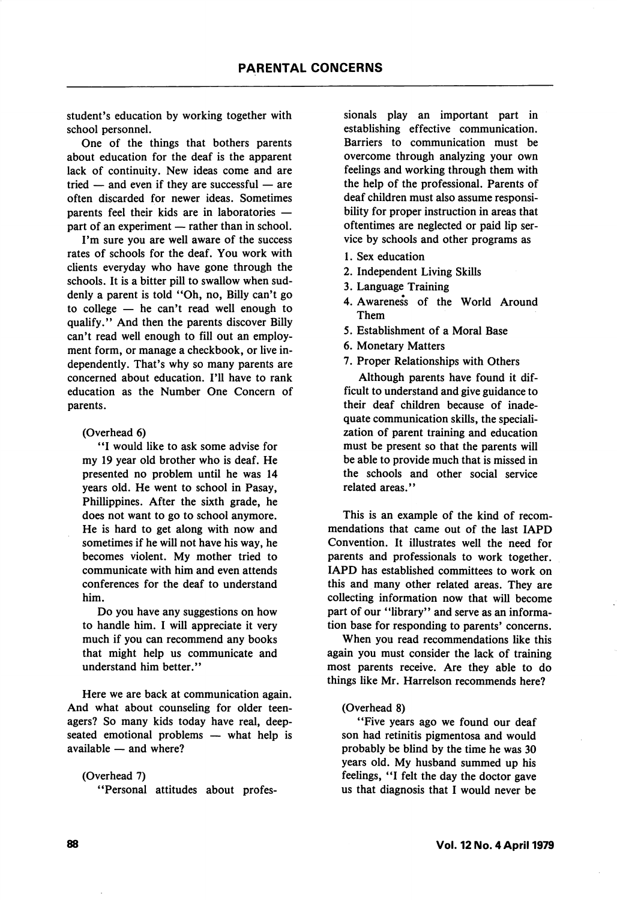student's education by working together with school personnel.

One of the things that bothers parents about education for the deaf is the apparent lack of continuity. New ideas come and are tried — and even if they are successful — are often discarded for newer ideas. Sometimes parents feel their kids are in laboratories part of an experiment — rather than in school.

I'm sure you are well aware of the success rates of schools for the deaf. You work with clients everyday who have gone through the schools. It is a bitter pill to swallow when sud denly a parent is told "Oh, no, Billy can't go to college — he can't read well enough to qualify." And then the parents discover Billy can't read well enough to fill out an employ ment form, or manage a checkbook, or live in dependently. That's why so many parents are concerned about education. I'll have to rank education as the Number One Concern of parents.

(Overhead 6)

'T would like to ask some advise for my 19 year old brother who is deaf. He presented no problem until he was 14 years old. He went to school in Pasay, Phillippines. After the sixth grade, he does not want to go to school anymore. He is hard to get along with now and sometimes if he will not have his way, he becomes violent. My mother tried to communicate with him and even attends conferences for the deaf to understand him.

Do you have any suggestions on how to handle him. I will appreciate it very much if you can recommend any books that might help us communicate and understand him better."

Here we are back at communication again. And what about counseling for older teen agers? So many kids today have real, deepseated emotional problems — what help is available — and where?

(Overhead 7) ^'Personal attitudes about profes sionals play an important part in establishing effective communication. Barriers to communication must be overcome through analyzing your own feelings and working through them with the help of the professional. Parents of deaf children must also assume responsi bility for proper instruction in areas that oftentimes are neglected or paid lip ser vice by schools and other programs as

- 1. Sex education
- 2. Independent Living Skills
- 3. Language Training
- 4. Awareness of the World Around Them
- 5. Establishment of a Moral Base
- 6. Monetary Matters
- 7. Proper Relationships with Others

Although parents have found it dif ficult to understand and give guidance to their deaf children because of inade quate communication skills, the speciali zation of parent training and education must be present so that the parents will be able to provide much that is missed in the schools and other social service related areas."

This is an example of the kind of recom mendations that came out of the last lAPD Convention. It illustrates well the need for parents and professionals to work together. lAPD has established committees to work on this and many other related areas. They are collecting information now that will become part of our ''library" and serve as an informa tion base for responding to parents' concerns.

When you read recommendations like this again you must consider the lack of training most parents receive. Are they able to do things like Mr. Harrelson recommends here?

## (Overhead 8)

"Five years ago we found our deaf son had retinitis pigmentosa and would probably be blind by the time he was 30 years old. My husband summed up his feelings, "I felt the day the doctor gave us that diagnosis that I would never be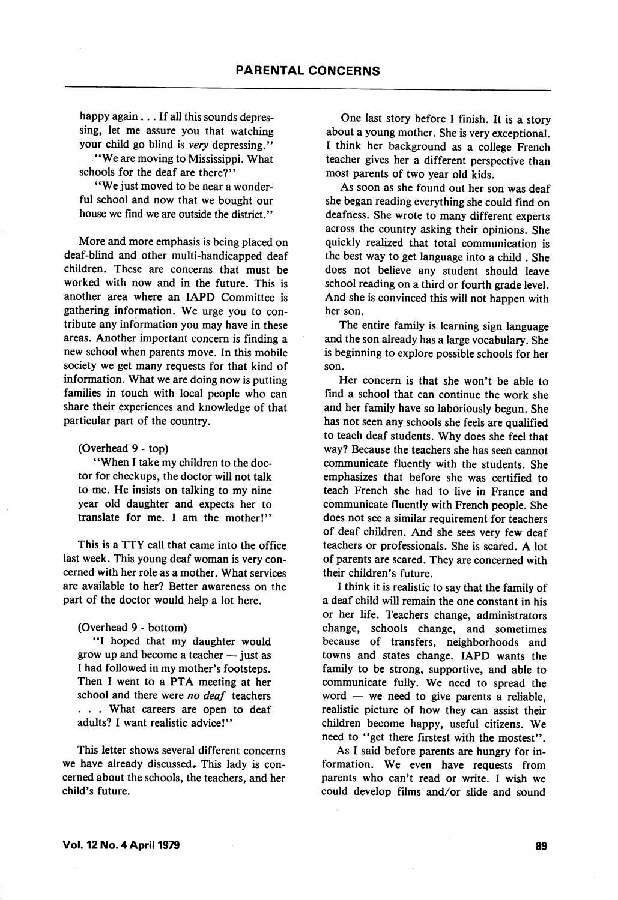happy again . . . If all this sounds depressing, let me assure you that watching your child go blind is very depressing." \* \* We are moving to Mississippi. What

schools for the deaf are there?"

"We just moved to be near a wonderful school and now that we bought our house we find we are outside the district."

More and more emphasis is being placed on deaf-blind and other multi-handicapped deaf children. These are concerns that must be worked with now and in the future. This is another area where an lAPD Committee is gathering information. We urge you to con tribute any information you may have in these areas. Another important concern is finding a new school when parents move. In this mobile society we get many requests for that kind of information. What we are doing now is putting families in touch with local people who can share their experiences and knowledge of that particular part of the country.

(Overhead 9 - top)

\*\*When I take my children to the doc tor for checkups, the doctor will not talk to me. He insists on talking to my nine year old daughter and expects her to translate for me. I am the mother!"

This is a TTY call that came into the office last week. This young deaf woman is very con cerned with her role as a mother. What services are available to her? Better awareness on the part of the doctor would help a lot here.

#### (Overhead 9 - bottom)

\*\*I hoped that my daughter would grow up and become a teacher — just as I had followed in my mother's footsteps. Then I went to a PTA meeting at her school and there were no deaf teachers . . . What careers are open to deaf adults? I want realistic advice!"

This letter shows several different concerns we have already discussed. This lady is concerned about the schools, the teachers, and her child's future.

One last story before I finish. It is a story about a young mother. She is very exceptional. I think her background as a college French teacher gives her a different perspective than most parents of two year old kids.

As soon as she found out her son was deaf she began reading everything she could find on deafness. She wrote to many different experts across the country asking their opinions. She quickly realized that total communication is the best way to get language into a child . She does not believe any student should leave school reading on a third or fourth grade level. And she is convinced this will not happen with her son.

The entire family is learning sign language and the son already has a large vocabulary. She is beginning to explore possible schools for her son.

Her concern is that she won't be able to find a school that can continue the work she and her family have so laboriously begun. She has not seen any schools she feels are qualified to teach deaf students. Why does she feel that way? Because the teachers she has seen cannot communicate fluently with the students. She emphasizes that before she was certified to teach French she had to live in France and communicate fluently with French people. She does not see a similar requirement for teachers of deaf children. And she sees very few deaf teachers or professionals. She is scared. A lot of parents are scared. They are concerned with their children's future.

I think it is realistic to say that the family of a deaf child will remain the one constant in his or her life. Teachers change, administrators change, schools change, and sometimes because of transfers, neighborhoods and towns and states change. lAPD wants the family to be strong, supportive, and able to communicate fully. We need to spread the word — we need to give parents a reliable, realistic picture of how they can assist their children become happy, useful citizens. We need to "get there firstest with the mostest".

As I said before parents are hungry for in formation. We even have requests from parents who can't read or write. I wish we could develop films and/or slide and sound